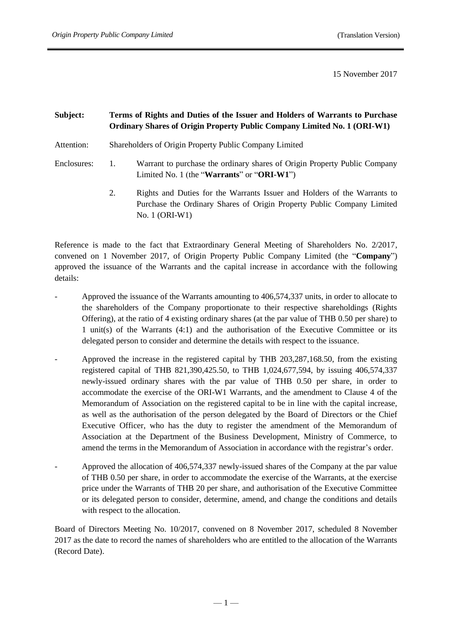15 November 2017

# **Subject: Terms of Rights and Duties of the Issuer and Holders of Warrants to Purchase Ordinary Shares of Origin Property Public Company Limited No. 1 (ORI-W1)**

- Attention: Shareholders of Origin Property Public Company Limited
- Enclosures: 1. Warrant to purchase the ordinary shares of Origin Property Public Company Limited No. 1 (the "**Warrants**" or "**ORI-W1**")
	- 2. Rights and Duties for the Warrants Issuer and Holders of the Warrants to Purchase the Ordinary Shares of Origin Property Public Company Limited No. 1 (ORI-W1)

Reference is made to the fact that Extraordinary General Meeting of Shareholders No. 2/2017, convened on 1 November 2017, of Origin Property Public Company Limited (the "**Company**") approved the issuance of the Warrants and the capital increase in accordance with the following details:

- Approved the issuance of the Warrants amounting to 406,574,337 units, in order to allocate to the shareholders of the Company proportionate to their respective shareholdings (Rights Offering), at the ratio of 4 existing ordinary shares (at the par value of THB 0.50 per share) to 1 unit(s) of the Warrants (4:1) and the authorisation of the Executive Committee or its delegated person to consider and determine the details with respect to the issuance.
- Approved the increase in the registered capital by THB 203,287,168.50, from the existing registered capital of THB 821,390,425.50, to THB 1,024,677,594, by issuing 406,574,337 newly-issued ordinary shares with the par value of THB 0.50 per share, in order to accommodate the exercise of the ORI-W1 Warrants, and the amendment to Clause 4 of the Memorandum of Association on the registered capital to be in line with the capital increase, as well as the authorisation of the person delegated by the Board of Directors or the Chief Executive Officer, who has the duty to register the amendment of the Memorandum of Association at the Department of the Business Development, Ministry of Commerce, to amend the terms in the Memorandum of Association in accordance with the registrar's order.
- Approved the allocation of 406,574,337 newly-issued shares of the Company at the par value of THB 0.50 per share, in order to accommodate the exercise of the Warrants, at the exercise price under the Warrants of THB 20 per share, and authorisation of the Executive Committee or its delegated person to consider, determine, amend, and change the conditions and details with respect to the allocation.

Board of Directors Meeting No. 10/2017, convened on 8 November 2017, scheduled 8 November 2017 as the date to record the names of shareholders who are entitled to the allocation of the Warrants (Record Date).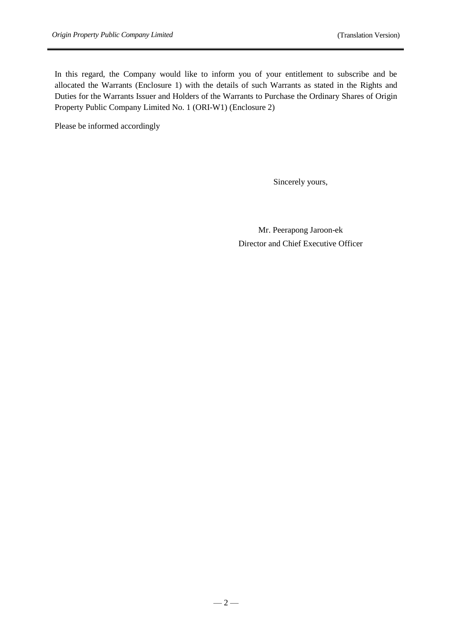In this regard, the Company would like to inform you of your entitlement to subscribe and be allocated the Warrants (Enclosure 1) with the details of such Warrants as stated in the Rights and Duties for the Warrants Issuer and Holders of the Warrants to Purchase the Ordinary Shares of Origin Property Public Company Limited No. 1 (ORI-W1) (Enclosure 2)

Please be informed accordingly

Sincerely yours,

Mr. Peerapong Jaroon-ek Director and Chief Executive Officer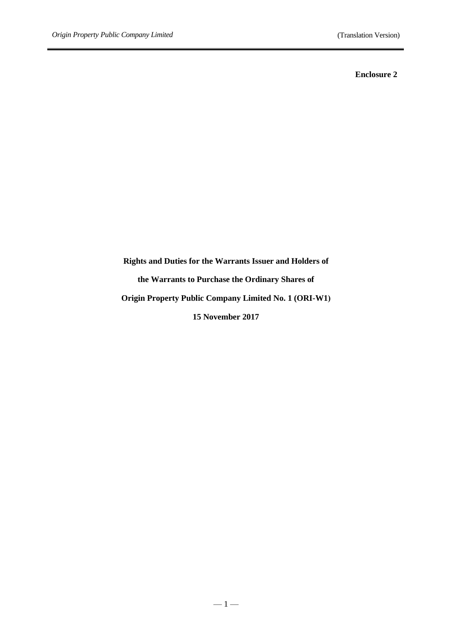### **Enclosure 2**

**Rights and Duties for the Warrants Issuer and Holders of the Warrants to Purchase the Ordinary Shares of Origin Property Public Company Limited No. 1 (ORI-W1) 15 November 2017**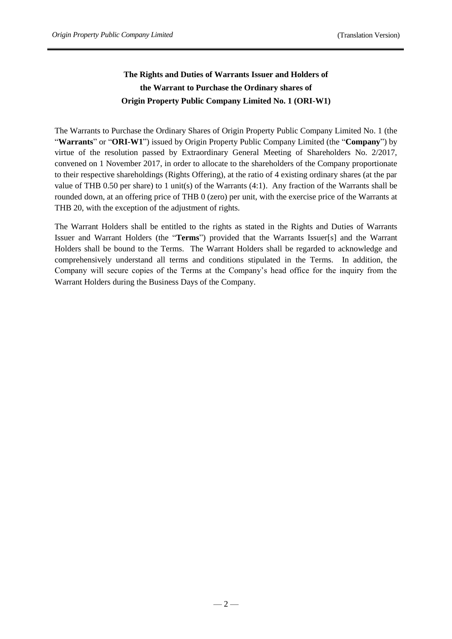# **The Rights and Duties of Warrants Issuer and Holders of the Warrant to Purchase the Ordinary shares of Origin Property Public Company Limited No. 1 (ORI-W1)**

The Warrants to Purchase the Ordinary Shares of Origin Property Public Company Limited No. 1 (the "**Warrants**" or "**ORI-W1**") issued by Origin Property Public Company Limited (the "**Company**") by virtue of the resolution passed by Extraordinary General Meeting of Shareholders No. 2/2017, convened on 1 November 2017, in order to allocate to the shareholders of the Company proportionate to their respective shareholdings (Rights Offering), at the ratio of 4 existing ordinary shares (at the par value of THB 0.50 per share) to 1 unit(s) of the Warrants (4:1). Any fraction of the Warrants shall be rounded down, at an offering price of THB 0 (zero) per unit, with the exercise price of the Warrants at THB 20, with the exception of the adjustment of rights.

The Warrant Holders shall be entitled to the rights as stated in the Rights and Duties of Warrants Issuer and Warrant Holders (the "**Terms**") provided that the Warrants Issuer[s] and the Warrant Holders shall be bound to the Terms. The Warrant Holders shall be regarded to acknowledge and comprehensively understand all terms and conditions stipulated in the Terms. In addition, the Company will secure copies of the Terms at the Company's head office for the inquiry from the Warrant Holders during the Business Days of the Company.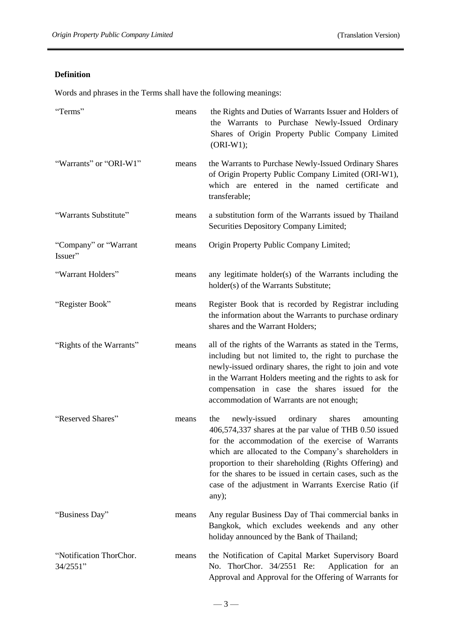# **Definition**

Words and phrases in the Terms shall have the following meanings:

| "Terms"                             | means | the Rights and Duties of Warrants Issuer and Holders of<br>the Warrants to Purchase Newly-Issued Ordinary<br>Shares of Origin Property Public Company Limited<br>$(ORI-W1);$                                                                                                                                                                                                                                           |
|-------------------------------------|-------|------------------------------------------------------------------------------------------------------------------------------------------------------------------------------------------------------------------------------------------------------------------------------------------------------------------------------------------------------------------------------------------------------------------------|
| "Warrants" or "ORI-W1"              | means | the Warrants to Purchase Newly-Issued Ordinary Shares<br>of Origin Property Public Company Limited (ORI-W1),<br>which are entered in the named certificate and<br>transferable;                                                                                                                                                                                                                                        |
| "Warrants Substitute"               | means | a substitution form of the Warrants issued by Thailand<br>Securities Depository Company Limited;                                                                                                                                                                                                                                                                                                                       |
| "Company" or "Warrant"<br>Issuer"   | means | Origin Property Public Company Limited;                                                                                                                                                                                                                                                                                                                                                                                |
| "Warrant Holders"                   | means | any legitimate holder(s) of the Warrants including the<br>holder(s) of the Warrants Substitute;                                                                                                                                                                                                                                                                                                                        |
| "Register Book"                     | means | Register Book that is recorded by Registrar including<br>the information about the Warrants to purchase ordinary<br>shares and the Warrant Holders;                                                                                                                                                                                                                                                                    |
| "Rights of the Warrants"            | means | all of the rights of the Warrants as stated in the Terms,<br>including but not limited to, the right to purchase the<br>newly-issued ordinary shares, the right to join and vote<br>in the Warrant Holders meeting and the rights to ask for<br>compensation in case the shares issued for the<br>accommodation of Warrants are not enough;                                                                            |
| "Reserved Shares"                   | means | newly-issued<br>ordinary<br>shares<br>the<br>amounting<br>406,574,337 shares at the par value of THB 0.50 issued<br>for the accommodation of the exercise of Warrants<br>which are allocated to the Company's shareholders in<br>proportion to their shareholding (Rights Offering) and<br>for the shares to be issued in certain cases, such as the<br>case of the adjustment in Warrants Exercise Ratio (if<br>any); |
| "Business Day"                      | means | Any regular Business Day of Thai commercial banks in<br>Bangkok, which excludes weekends and any other<br>holiday announced by the Bank of Thailand;                                                                                                                                                                                                                                                                   |
| "Notification ThorChor.<br>34/2551" | means | the Notification of Capital Market Supervisory Board<br>No. ThorChor. 34/2551 Re:<br>Application for an<br>Approval and Approval for the Offering of Warrants for                                                                                                                                                                                                                                                      |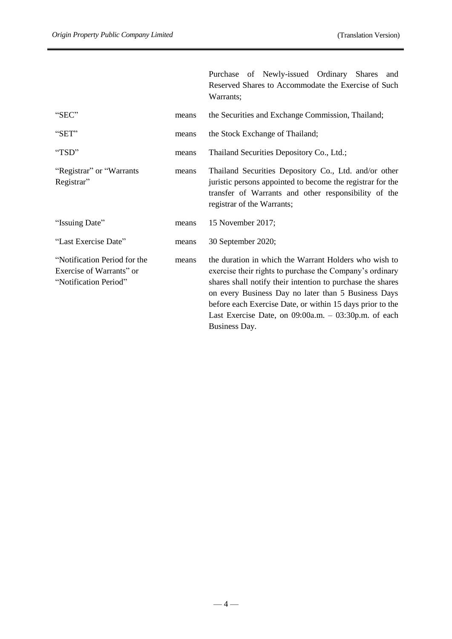Purchase of Newly-issued Ordinary Shares and

|                                                                                   |       | Reserved Shares to Accommodate the Exercise of Such<br>Warrants;                                                                                                                                                                                                                                                                                                               |
|-----------------------------------------------------------------------------------|-------|--------------------------------------------------------------------------------------------------------------------------------------------------------------------------------------------------------------------------------------------------------------------------------------------------------------------------------------------------------------------------------|
| "SEC"                                                                             | means | the Securities and Exchange Commission, Thailand;                                                                                                                                                                                                                                                                                                                              |
| "SET"                                                                             | means | the Stock Exchange of Thailand;                                                                                                                                                                                                                                                                                                                                                |
| "TSD"                                                                             | means | Thailand Securities Depository Co., Ltd.;                                                                                                                                                                                                                                                                                                                                      |
| "Registrar" or "Warrants<br>Registrar"                                            | means | Thailand Securities Depository Co., Ltd. and/or other<br>juristic persons appointed to become the registrar for the<br>transfer of Warrants and other responsibility of the<br>registrar of the Warrants;                                                                                                                                                                      |
| "Issuing Date"                                                                    | means | 15 November 2017;                                                                                                                                                                                                                                                                                                                                                              |
| "Last Exercise Date"                                                              | means | 30 September 2020;                                                                                                                                                                                                                                                                                                                                                             |
| "Notification Period for the<br>Exercise of Warrants" or<br>"Notification Period" | means | the duration in which the Warrant Holders who wish to<br>exercise their rights to purchase the Company's ordinary<br>shares shall notify their intention to purchase the shares<br>on every Business Day no later than 5 Business Days<br>before each Exercise Date, or within 15 days prior to the<br>Last Exercise Date, on $09:00a.m. - 03:30p.m.$ of each<br>Business Day. |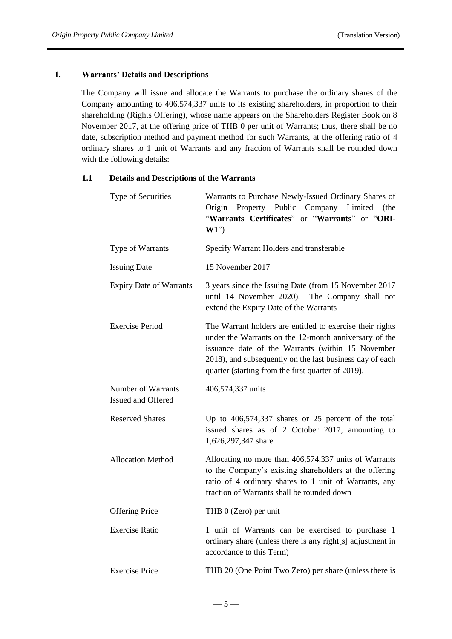# **1. Warrants' Details and Descriptions**

The Company will issue and allocate the Warrants to purchase the ordinary shares of the Company amounting to 406,574,337 units to its existing shareholders, in proportion to their shareholding (Rights Offering), whose name appears on the Shareholders Register Book on 8 November 2017, at the offering price of THB 0 per unit of Warrants; thus, there shall be no date, subscription method and payment method for such Warrants, at the offering ratio of 4 ordinary shares to 1 unit of Warrants and any fraction of Warrants shall be rounded down with the following details:

# **1.1 Details and Descriptions of the Warrants**

| Type of Securities                       | Warrants to Purchase Newly-Issued Ordinary Shares of<br>Origin<br>Property Public Company Limited<br>(the<br>"Warrants Certificates" or "Warrants" or "ORI-<br>$W1$ "                                                                                                                     |  |  |  |  |
|------------------------------------------|-------------------------------------------------------------------------------------------------------------------------------------------------------------------------------------------------------------------------------------------------------------------------------------------|--|--|--|--|
| Type of Warrants                         | Specify Warrant Holders and transferable                                                                                                                                                                                                                                                  |  |  |  |  |
| <b>Issuing Date</b>                      | 15 November 2017                                                                                                                                                                                                                                                                          |  |  |  |  |
| <b>Expiry Date of Warrants</b>           | 3 years since the Issuing Date (from 15 November 2017<br>until 14 November 2020).<br>The Company shall not<br>extend the Expiry Date of the Warrants                                                                                                                                      |  |  |  |  |
| <b>Exercise Period</b>                   | The Warrant holders are entitled to exercise their rights<br>under the Warrants on the 12-month anniversary of the<br>issuance date of the Warrants (within 15 November<br>2018), and subsequently on the last business day of each<br>quarter (starting from the first quarter of 2019). |  |  |  |  |
| Number of Warrants<br>Issued and Offered | 406,574,337 units                                                                                                                                                                                                                                                                         |  |  |  |  |
| <b>Reserved Shares</b>                   | Up to $406,574,337$ shares or 25 percent of the total<br>issued shares as of 2 October 2017, amounting to<br>1,626,297,347 share                                                                                                                                                          |  |  |  |  |
| <b>Allocation Method</b>                 | Allocating no more than 406,574,337 units of Warrants<br>to the Company's existing shareholders at the offering<br>ratio of 4 ordinary shares to 1 unit of Warrants, any<br>fraction of Warrants shall be rounded down                                                                    |  |  |  |  |
| <b>Offering Price</b>                    | THB 0 (Zero) per unit                                                                                                                                                                                                                                                                     |  |  |  |  |
| <b>Exercise Ratio</b>                    | 1 unit of Warrants can be exercised to purchase 1<br>ordinary share (unless there is any right[s] adjustment in<br>accordance to this Term)                                                                                                                                               |  |  |  |  |
| <b>Exercise Price</b>                    | THB 20 (One Point Two Zero) per share (unless there is                                                                                                                                                                                                                                    |  |  |  |  |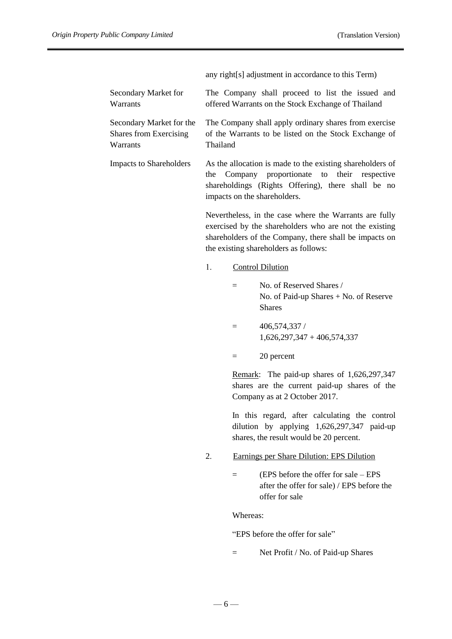any right[s] adjustment in accordance to this Term)

|                                                                       |          | any right s adjustment in accordance to this Term)                                                                                                                                                                  |
|-----------------------------------------------------------------------|----------|---------------------------------------------------------------------------------------------------------------------------------------------------------------------------------------------------------------------|
| Secondary Market for<br>Warrants                                      |          | The Company shall proceed to list the issued and<br>offered Warrants on the Stock Exchange of Thailand                                                                                                              |
| Secondary Market for the<br><b>Shares from Exercising</b><br>Warrants | Thailand | The Company shall apply ordinary shares from exercise<br>of the Warrants to be listed on the Stock Exchange of                                                                                                      |
| <b>Impacts to Shareholders</b>                                        | the      | As the allocation is made to the existing shareholders of<br>Company<br>proportionate<br>their<br>to<br>respective<br>shareholdings (Rights Offering), there shall be no<br>impacts on the shareholders.            |
|                                                                       |          | Nevertheless, in the case where the Warrants are fully<br>exercised by the shareholders who are not the existing<br>shareholders of the Company, there shall be impacts on<br>the existing shareholders as follows: |
|                                                                       | 1.       | <b>Control Dilution</b>                                                                                                                                                                                             |
|                                                                       |          | No. of Reserved Shares /<br>$=$<br>No. of Paid-up Shares + No. of Reserve<br><b>Shares</b>                                                                                                                          |
|                                                                       |          | 406,574,337 /<br>$=$<br>$1,626,297,347 + 406,574,337$                                                                                                                                                               |
|                                                                       |          | 20 percent<br>$=$                                                                                                                                                                                                   |
|                                                                       |          | Remark: The paid-up shares of 1,626,297,347<br>shares are the current paid-up shares of the<br>Company as at 2 October 2017.                                                                                        |
|                                                                       |          | In this regard, after calculating the control<br>dilution by applying 1,626,297,347 paid-up<br>shares, the result would be 20 percent.                                                                              |

- 2. Earnings per Share Dilution: EPS Dilution
	- = (EPS before the offer for sale EPS after the offer for sale) / EPS before the offer for sale

Whereas:

"EPS before the offer for sale"

= Net Profit / No. of Paid-up Shares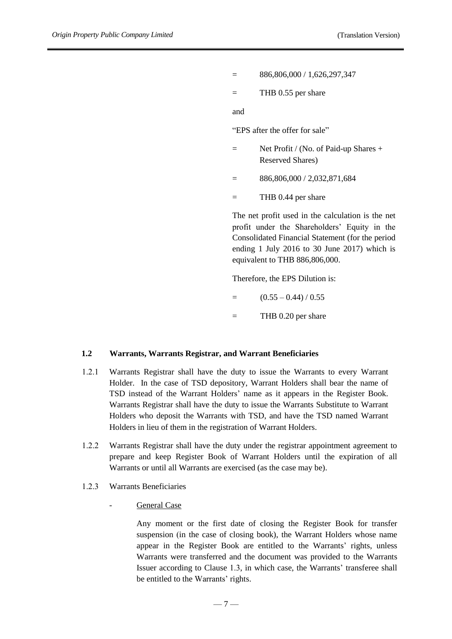- = 886,806,000 / 1,626,297,347
- $=$  THB 0.55 per share

and

"EPS after the offer for sale"

- $=$  Net Profit / (No. of Paid-up Shares + Reserved Shares)
- $=$  886,806,000 / 2,032,871,684
- $=$  THB 0.44 per share

The net profit used in the calculation is the net profit under the Shareholders' Equity in the Consolidated Financial Statement (for the period ending 1 July 2016 to 30 June 2017) which is equivalent to THB 886,806,000.

Therefore, the EPS Dilution is:

- $=$   $(0.55 0.44) / 0.55$
- = THB 0.20 per share

### **1.2 Warrants, Warrants Registrar, and Warrant Beneficiaries**

- 1.2.1 Warrants Registrar shall have the duty to issue the Warrants to every Warrant Holder. In the case of TSD depository, Warrant Holders shall bear the name of TSD instead of the Warrant Holders' name as it appears in the Register Book. Warrants Registrar shall have the duty to issue the Warrants Substitute to Warrant Holders who deposit the Warrants with TSD, and have the TSD named Warrant Holders in lieu of them in the registration of Warrant Holders.
- 1.2.2 Warrants Registrar shall have the duty under the registrar appointment agreement to prepare and keep Register Book of Warrant Holders until the expiration of all Warrants or until all Warrants are exercised (as the case may be).
- 1.2.3 Warrants Beneficiaries
	- General Case

Any moment or the first date of closing the Register Book for transfer suspension (in the case of closing book), the Warrant Holders whose name appear in the Register Book are entitled to the Warrants' rights, unless Warrants were transferred and the document was provided to the Warrants Issuer according to Clause 1.3, in which case, the Warrants' transferee shall be entitled to the Warrants' rights.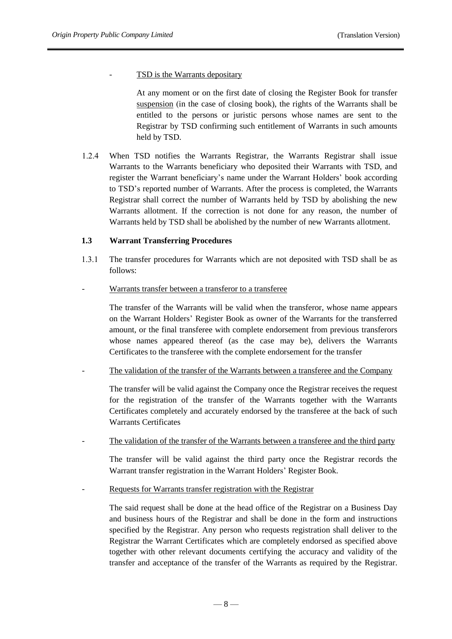TSD is the Warrants depositary

At any moment or on the first date of closing the Register Book for transfer suspension (in the case of closing book), the rights of the Warrants shall be entitled to the persons or juristic persons whose names are sent to the Registrar by TSD confirming such entitlement of Warrants in such amounts held by TSD.

1.2.4 When TSD notifies the Warrants Registrar, the Warrants Registrar shall issue Warrants to the Warrants beneficiary who deposited their Warrants with TSD, and register the Warrant beneficiary's name under the Warrant Holders' book according to TSD's reported number of Warrants. After the process is completed, the Warrants Registrar shall correct the number of Warrants held by TSD by abolishing the new Warrants allotment. If the correction is not done for any reason, the number of Warrants held by TSD shall be abolished by the number of new Warrants allotment.

## **1.3 Warrant Transferring Procedures**

- 1.3.1 The transfer procedures for Warrants which are not deposited with TSD shall be as follows:
- Warrants transfer between a transferor to a transferee

The transfer of the Warrants will be valid when the transferor, whose name appears on the Warrant Holders' Register Book as owner of the Warrants for the transferred amount, or the final transferee with complete endorsement from previous transferors whose names appeared thereof (as the case may be), delivers the Warrants Certificates to the transferee with the complete endorsement for the transfer

The validation of the transfer of the Warrants between a transferee and the Company

The transfer will be valid against the Company once the Registrar receives the request for the registration of the transfer of the Warrants together with the Warrants Certificates completely and accurately endorsed by the transferee at the back of such Warrants Certificates

The validation of the transfer of the Warrants between a transferee and the third party

The transfer will be valid against the third party once the Registrar records the Warrant transfer registration in the Warrant Holders' Register Book.

Requests for Warrants transfer registration with the Registrar

The said request shall be done at the head office of the Registrar on a Business Day and business hours of the Registrar and shall be done in the form and instructions specified by the Registrar. Any person who requests registration shall deliver to the Registrar the Warrant Certificates which are completely endorsed as specified above together with other relevant documents certifying the accuracy and validity of the transfer and acceptance of the transfer of the Warrants as required by the Registrar.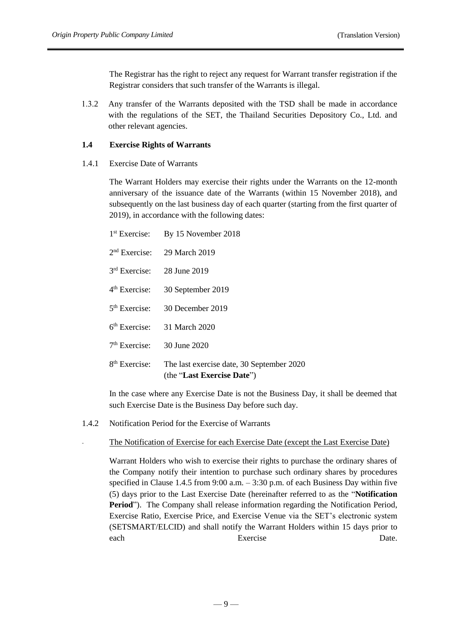The Registrar has the right to reject any request for Warrant transfer registration if the Registrar considers that such transfer of the Warrants is illegal.

1.3.2 Any transfer of the Warrants deposited with the TSD shall be made in accordance with the regulations of the SET, the Thailand Securities Depository Co., Ltd. and other relevant agencies.

### **1.4 Exercise Rights of Warrants**

1.4.1 Exercise Date of Warrants

The Warrant Holders may exercise their rights under the Warrants on the 12-month anniversary of the issuance date of the Warrants (within 15 November 2018), and subsequently on the last business day of each quarter (starting from the first quarter of 2019), in accordance with the following dates:

|                              | 1 <sup>st</sup> Exercise: By 15 November 2018                           |
|------------------------------|-------------------------------------------------------------------------|
|                              | $2nd$ Exercise: 29 March 2019                                           |
| $3rd$ Exercise: 28 June 2019 |                                                                         |
| $4th$ Exercise:              | 30 September 2019                                                       |
|                              | 5 <sup>th</sup> Exercise: 30 December 2019                              |
|                              | 6 <sup>th</sup> Exercise: 31 March 2020                                 |
| $7th$ Exercise: 30 June 2020 |                                                                         |
| $8th$ Exercise:              | The last exercise date, 30 September 2020<br>(the "Last Exercise Date") |

In the case where any Exercise Date is not the Business Day, it shall be deemed that such Exercise Date is the Business Day before such day.

1.4.2 Notification Period for the Exercise of Warrants

#### The Notification of Exercise for each Exercise Date (except the Last Exercise Date)

Warrant Holders who wish to exercise their rights to purchase the ordinary shares of the Company notify their intention to purchase such ordinary shares by procedures specified in Clause 1.4.5 from 9:00 a.m. – 3:30 p.m. of each Business Day within five (5) days prior to the Last Exercise Date (hereinafter referred to as the "**Notification Period**"). The Company shall release information regarding the Notification Period, Exercise Ratio, Exercise Price, and Exercise Venue via the SET's electronic system (SETSMART/ELCID) and shall notify the Warrant Holders within 15 days prior to each Exercise Date.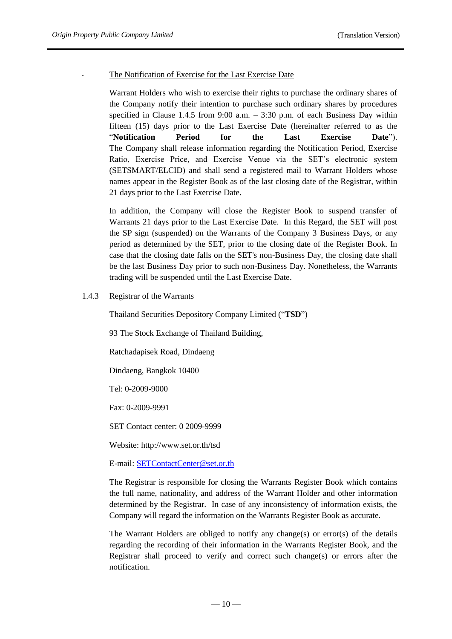### The Notification of Exercise for the Last Exercise Date

Warrant Holders who wish to exercise their rights to purchase the ordinary shares of the Company notify their intention to purchase such ordinary shares by procedures specified in Clause 1.4.5 from 9:00 a.m. – 3:30 p.m. of each Business Day within fifteen (15) days prior to the Last Exercise Date (hereinafter referred to as the "**Notification Period for the Last Exercise Date**"). The Company shall release information regarding the Notification Period, Exercise Ratio, Exercise Price, and Exercise Venue via the SET's electronic system (SETSMART/ELCID) and shall send a registered mail to Warrant Holders whose names appear in the Register Book as of the last closing date of the Registrar, within 21 days prior to the Last Exercise Date.

In addition, the Company will close the Register Book to suspend transfer of Warrants 21 days prior to the Last Exercise Date. In this Regard, the SET will post the SP sign (suspended) on the Warrants of the Company 3 Business Days, or any period as determined by the SET, prior to the closing date of the Register Book. In case that the closing date falls on the SET's non-Business Day, the closing date shall be the last Business Day prior to such non-Business Day. Nonetheless, the Warrants trading will be suspended until the Last Exercise Date.

1.4.3 Registrar of the Warrants

Thailand Securities Depository Company Limited ("**TSD**")

93 The Stock Exchange of Thailand Building,

Ratchadapisek Road, Dindaeng

Dindaeng, Bangkok 10400

Tel: 0-2009-9000

Fax: 0-2009-9991

SET Contact center: 0 2009-9999

Website: http://www.set.or.th/tsd

E-mail[: SETContactCenter@set.or.th](mailto:SETContactCenter@set.or.th)

The Registrar is responsible for closing the Warrants Register Book which contains the full name, nationality, and address of the Warrant Holder and other information determined by the Registrar. In case of any inconsistency of information exists, the Company will regard the information on the Warrants Register Book as accurate.

The Warrant Holders are obliged to notify any change(s) or error(s) of the details regarding the recording of their information in the Warrants Register Book, and the Registrar shall proceed to verify and correct such change(s) or errors after the notification.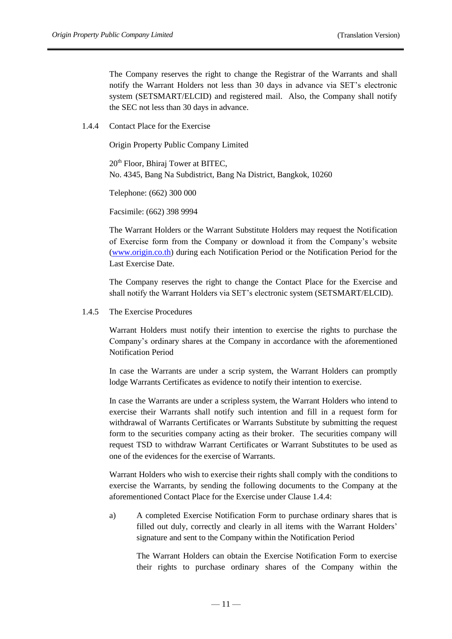The Company reserves the right to change the Registrar of the Warrants and shall notify the Warrant Holders not less than 30 days in advance via SET's electronic system (SETSMART/ELCID) and registered mail. Also, the Company shall notify the SEC not less than 30 days in advance.

1.4.4 Contact Place for the Exercise

Origin Property Public Company Limited

20<sup>th</sup> Floor, Bhiraj Tower at BITEC, No. 4345, Bang Na Subdistrict, Bang Na District, Bangkok, 10260

Telephone: (662) 300 000

Facsimile: (662) 398 9994

The Warrant Holders or the Warrant Substitute Holders may request the Notification of Exercise form from the Company or download it from the Company's website [\(www.origin.co.th\)](http://www.origin.co.th/) during each Notification Period or the Notification Period for the Last Exercise Date.

The Company reserves the right to change the Contact Place for the Exercise and shall notify the Warrant Holders via SET's electronic system (SETSMART/ELCID).

1.4.5 The Exercise Procedures

Warrant Holders must notify their intention to exercise the rights to purchase the Company's ordinary shares at the Company in accordance with the aforementioned Notification Period

In case the Warrants are under a scrip system, the Warrant Holders can promptly lodge Warrants Certificates as evidence to notify their intention to exercise.

In case the Warrants are under a scripless system, the Warrant Holders who intend to exercise their Warrants shall notify such intention and fill in a request form for withdrawal of Warrants Certificates or Warrants Substitute by submitting the request form to the securities company acting as their broker. The securities company will request TSD to withdraw Warrant Certificates or Warrant Substitutes to be used as one of the evidences for the exercise of Warrants.

Warrant Holders who wish to exercise their rights shall comply with the conditions to exercise the Warrants, by sending the following documents to the Company at the aforementioned Contact Place for the Exercise under Clause 1.4.4:

a) A completed Exercise Notification Form to purchase ordinary shares that is filled out duly, correctly and clearly in all items with the Warrant Holders' signature and sent to the Company within the Notification Period

The Warrant Holders can obtain the Exercise Notification Form to exercise their rights to purchase ordinary shares of the Company within the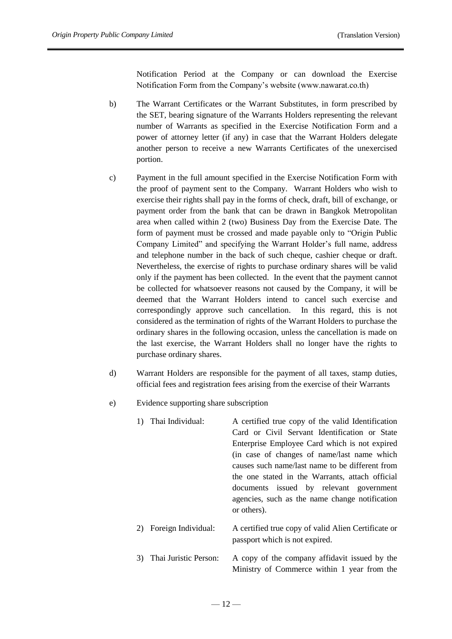Notification Period at the Company or can download the Exercise Notification Form from the Company's website (www.nawarat.co.th)

- b) The Warrant Certificates or the Warrant Substitutes, in form prescribed by the SET, bearing signature of the Warrants Holders representing the relevant number of Warrants as specified in the Exercise Notification Form and a power of attorney letter (if any) in case that the Warrant Holders delegate another person to receive a new Warrants Certificates of the unexercised portion.
- c) Payment in the full amount specified in the Exercise Notification Form with the proof of payment sent to the Company. Warrant Holders who wish to exercise their rights shall pay in the forms of check, draft, bill of exchange, or payment order from the bank that can be drawn in Bangkok Metropolitan area when called within 2 (two) Business Day from the Exercise Date. The form of payment must be crossed and made payable only to "Origin Public Company Limited" and specifying the Warrant Holder's full name, address and telephone number in the back of such cheque, cashier cheque or draft. Nevertheless, the exercise of rights to purchase ordinary shares will be valid only if the payment has been collected. In the event that the payment cannot be collected for whatsoever reasons not caused by the Company, it will be deemed that the Warrant Holders intend to cancel such exercise and correspondingly approve such cancellation. In this regard, this is not considered as the termination of rights of the Warrant Holders to purchase the ordinary shares in the following occasion, unless the cancellation is made on the last exercise, the Warrant Holders shall no longer have the rights to purchase ordinary shares.
- d) Warrant Holders are responsible for the payment of all taxes, stamp duties, official fees and registration fees arising from the exercise of their Warrants
- e) Evidence supporting share subscription

|    | 1) Thai Individual:    | A certified true copy of the valid Identification<br>Card or Civil Servant Identification or State<br>Enterprise Employee Card which is not expired<br>(in case of changes of name/last name which<br>causes such name/last name to be different from<br>the one stated in the Warrants, attach official<br>documents issued by relevant government<br>agencies, such as the name change notification<br>or others). |
|----|------------------------|----------------------------------------------------------------------------------------------------------------------------------------------------------------------------------------------------------------------------------------------------------------------------------------------------------------------------------------------------------------------------------------------------------------------|
|    | 2) Foreign Individual: | A certified true copy of valid Alien Certificate or<br>passport which is not expired.                                                                                                                                                                                                                                                                                                                                |
| 3) | Thai Juristic Person:  | A copy of the company affidavit issued by the<br>Ministry of Commerce within 1 year from the                                                                                                                                                                                                                                                                                                                         |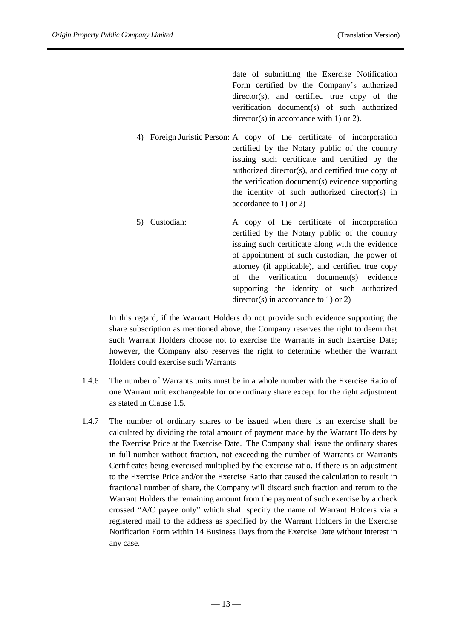date of submitting the Exercise Notification Form certified by the Company's authorized director(s), and certified true copy of the verification document(s) of such authorized director(s) in accordance with 1) or 2).

- 4) Foreign Juristic Person: A copy of the certificate of incorporation certified by the Notary public of the country issuing such certificate and certified by the authorized director(s), and certified true copy of the verification document(s) evidence supporting the identity of such authorized director(s) in accordance to 1) or 2)
- 5) Custodian: A copy of the certificate of incorporation certified by the Notary public of the country issuing such certificate along with the evidence of appointment of such custodian, the power of attorney (if applicable), and certified true copy of the verification document(s) evidence supporting the identity of such authorized director(s) in accordance to 1) or 2)

In this regard, if the Warrant Holders do not provide such evidence supporting the share subscription as mentioned above, the Company reserves the right to deem that such Warrant Holders choose not to exercise the Warrants in such Exercise Date; however, the Company also reserves the right to determine whether the Warrant Holders could exercise such Warrants

- 1.4.6 The number of Warrants units must be in a whole number with the Exercise Ratio of one Warrant unit exchangeable for one ordinary share except for the right adjustment as stated in Clause 1.5.
- 1.4.7 The number of ordinary shares to be issued when there is an exercise shall be calculated by dividing the total amount of payment made by the Warrant Holders by the Exercise Price at the Exercise Date. The Company shall issue the ordinary shares in full number without fraction, not exceeding the number of Warrants or Warrants Certificates being exercised multiplied by the exercise ratio. If there is an adjustment to the Exercise Price and/or the Exercise Ratio that caused the calculation to result in fractional number of share, the Company will discard such fraction and return to the Warrant Holders the remaining amount from the payment of such exercise by a check crossed "A/C payee only" which shall specify the name of Warrant Holders via a registered mail to the address as specified by the Warrant Holders in the Exercise Notification Form within 14 Business Days from the Exercise Date without interest in any case.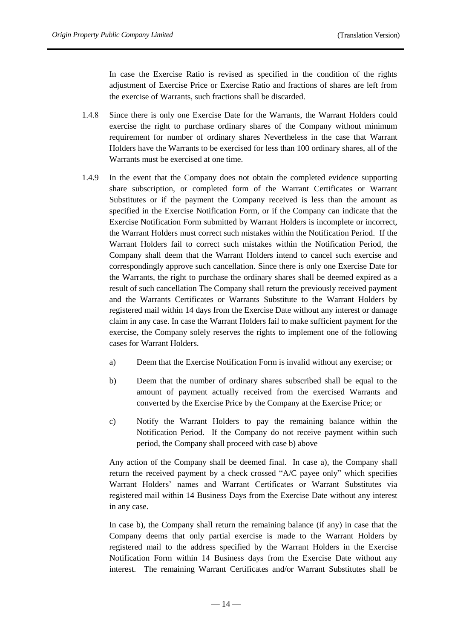In case the Exercise Ratio is revised as specified in the condition of the rights adjustment of Exercise Price or Exercise Ratio and fractions of shares are left from the exercise of Warrants, such fractions shall be discarded.

- 1.4.8 Since there is only one Exercise Date for the Warrants, the Warrant Holders could exercise the right to purchase ordinary shares of the Company without minimum requirement for number of ordinary shares Nevertheless in the case that Warrant Holders have the Warrants to be exercised for less than 100 ordinary shares, all of the Warrants must be exercised at one time.
- 1.4.9 In the event that the Company does not obtain the completed evidence supporting share subscription, or completed form of the Warrant Certificates or Warrant Substitutes or if the payment the Company received is less than the amount as specified in the Exercise Notification Form, or if the Company can indicate that the Exercise Notification Form submitted by Warrant Holders is incomplete or incorrect, the Warrant Holders must correct such mistakes within the Notification Period. If the Warrant Holders fail to correct such mistakes within the Notification Period, the Company shall deem that the Warrant Holders intend to cancel such exercise and correspondingly approve such cancellation. Since there is only one Exercise Date for the Warrants, the right to purchase the ordinary shares shall be deemed expired as a result of such cancellation The Company shall return the previously received payment and the Warrants Certificates or Warrants Substitute to the Warrant Holders by registered mail within 14 days from the Exercise Date without any interest or damage claim in any case. In case the Warrant Holders fail to make sufficient payment for the exercise, the Company solely reserves the rights to implement one of the following cases for Warrant Holders.
	- a) Deem that the Exercise Notification Form is invalid without any exercise; or
	- b) Deem that the number of ordinary shares subscribed shall be equal to the amount of payment actually received from the exercised Warrants and converted by the Exercise Price by the Company at the Exercise Price; or
	- c) Notify the Warrant Holders to pay the remaining balance within the Notification Period. If the Company do not receive payment within such period, the Company shall proceed with case b) above

Any action of the Company shall be deemed final. In case a), the Company shall return the received payment by a check crossed "A/C payee only" which specifies Warrant Holders' names and Warrant Certificates or Warrant Substitutes via registered mail within 14 Business Days from the Exercise Date without any interest in any case.

In case b), the Company shall return the remaining balance (if any) in case that the Company deems that only partial exercise is made to the Warrant Holders by registered mail to the address specified by the Warrant Holders in the Exercise Notification Form within 14 Business days from the Exercise Date without any interest. The remaining Warrant Certificates and/or Warrant Substitutes shall be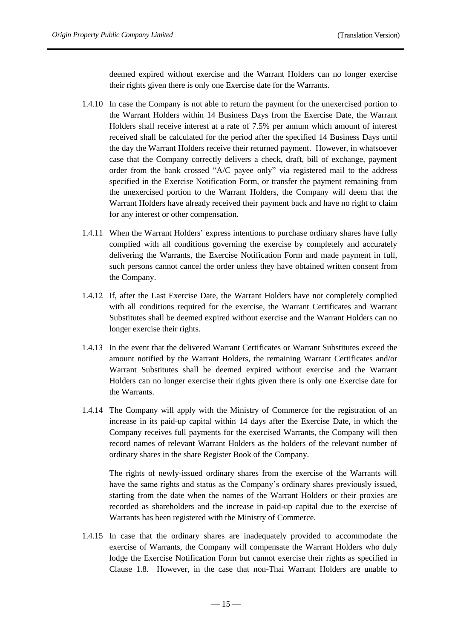deemed expired without exercise and the Warrant Holders can no longer exercise their rights given there is only one Exercise date for the Warrants.

- 1.4.10 In case the Company is not able to return the payment for the unexercised portion to the Warrant Holders within 14 Business Days from the Exercise Date, the Warrant Holders shall receive interest at a rate of 7.5% per annum which amount of interest received shall be calculated for the period after the specified 14 Business Days until the day the Warrant Holders receive their returned payment. However, in whatsoever case that the Company correctly delivers a check, draft, bill of exchange, payment order from the bank crossed "A/C payee only" via registered mail to the address specified in the Exercise Notification Form, or transfer the payment remaining from the unexercised portion to the Warrant Holders, the Company will deem that the Warrant Holders have already received their payment back and have no right to claim for any interest or other compensation.
- 1.4.11 When the Warrant Holders' express intentions to purchase ordinary shares have fully complied with all conditions governing the exercise by completely and accurately delivering the Warrants, the Exercise Notification Form and made payment in full, such persons cannot cancel the order unless they have obtained written consent from the Company.
- 1.4.12 If, after the Last Exercise Date, the Warrant Holders have not completely complied with all conditions required for the exercise, the Warrant Certificates and Warrant Substitutes shall be deemed expired without exercise and the Warrant Holders can no longer exercise their rights.
- 1.4.13 In the event that the delivered Warrant Certificates or Warrant Substitutes exceed the amount notified by the Warrant Holders, the remaining Warrant Certificates and/or Warrant Substitutes shall be deemed expired without exercise and the Warrant Holders can no longer exercise their rights given there is only one Exercise date for the Warrants.
- 1.4.14 The Company will apply with the Ministry of Commerce for the registration of an increase in its paid-up capital within 14 days after the Exercise Date, in which the Company receives full payments for the exercised Warrants, the Company will then record names of relevant Warrant Holders as the holders of the relevant number of ordinary shares in the share Register Book of the Company.

The rights of newly-issued ordinary shares from the exercise of the Warrants will have the same rights and status as the Company's ordinary shares previously issued, starting from the date when the names of the Warrant Holders or their proxies are recorded as shareholders and the increase in paid-up capital due to the exercise of Warrants has been registered with the Ministry of Commerce.

1.4.15 In case that the ordinary shares are inadequately provided to accommodate the exercise of Warrants, the Company will compensate the Warrant Holders who duly lodge the Exercise Notification Form but cannot exercise their rights as specified in Clause 1.8. However, in the case that non-Thai Warrant Holders are unable to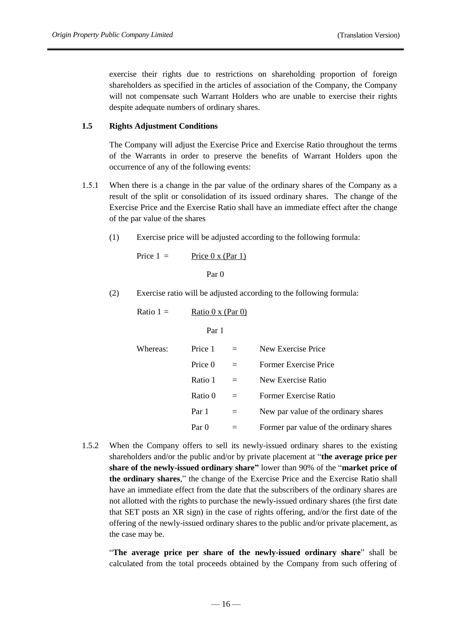exercise their rights due to restrictions on shareholding proportion of foreign shareholders as specified in the articles of association of the Company, the Company will not compensate such Warrant Holders who are unable to exercise their rights despite adequate numbers of ordinary shares.

## **1.5 Rights Adjustment Conditions**

The Company will adjust the Exercise Price and Exercise Ratio throughout the terms of the Warrants in order to preserve the benefits of Warrant Holders upon the occurrence of any of the following events:

- 1.5.1 When there is a change in the par value of the ordinary shares of the Company as a result of the split or consolidation of its issued ordinary shares. The change of the Exercise Price and the Exercise Ratio shall have an immediate effect after the change of the par value of the shares
	- (1) Exercise price will be adjusted according to the following formula:

$$
Price 1 = \underline{Price 0 x (Par 1)}
$$

Par 0

(2) Exercise ratio will be adjusted according to the following formula:

Ratio 
$$
1 = \text{Ratio } 0 \times (\text{Par } 0)
$$

Par 1

| Whereas: | Price 1 | $\equiv$ | New Exercise Price                      |
|----------|---------|----------|-----------------------------------------|
|          | Price 0 | $=$      | Former Exercise Price                   |
|          | Ratio 1 | $=$      | New Exercise Ratio                      |
|          | Ratio 0 | $=$      | Former Exercise Ratio                   |
|          | Par 1   | $=$      | New par value of the ordinary shares    |
|          | Par 0   |          | Former par value of the ordinary shares |
|          |         |          |                                         |

1.5.2 When the Company offers to sell its newly-issued ordinary shares to the existing shareholders and/or the public and/or by private placement at "**the average price per share of the newly-issued ordinary share"** lower than 90% of the "**market price of the ordinary shares**," the change of the Exercise Price and the Exercise Ratio shall have an immediate effect from the date that the subscribers of the ordinary shares are not allotted with the rights to purchase the newly-issued ordinary shares (the first date that SET posts an XR sign) in the case of rights offering, and/or the first date of the offering of the newly-issued ordinary shares to the public and/or private placement, as the case may be.

"**The average price per share of the newly-issued ordinary share**" shall be calculated from the total proceeds obtained by the Company from such offering of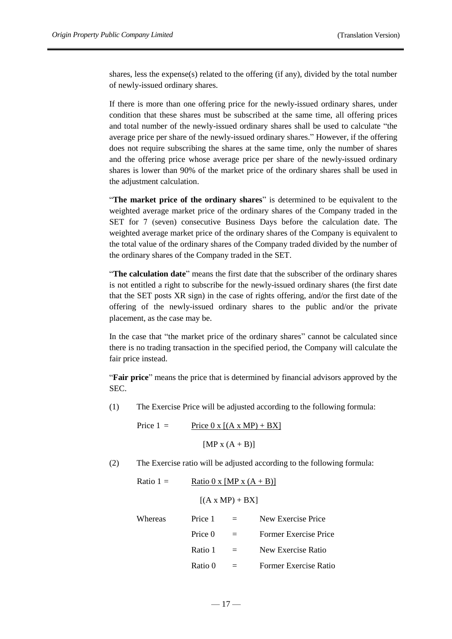shares, less the expense(s) related to the offering (if any), divided by the total number of newly-issued ordinary shares.

If there is more than one offering price for the newly-issued ordinary shares, under condition that these shares must be subscribed at the same time, all offering prices and total number of the newly-issued ordinary shares shall be used to calculate "the average price per share of the newly-issued ordinary shares." However, if the offering does not require subscribing the shares at the same time, only the number of shares and the offering price whose average price per share of the newly-issued ordinary shares is lower than 90% of the market price of the ordinary shares shall be used in the adjustment calculation.

"**The market price of the ordinary shares**" is determined to be equivalent to the weighted average market price of the ordinary shares of the Company traded in the SET for 7 (seven) consecutive Business Days before the calculation date. The weighted average market price of the ordinary shares of the Company is equivalent to the total value of the ordinary shares of the Company traded divided by the number of the ordinary shares of the Company traded in the SET.

"**The calculation date**" means the first date that the subscriber of the ordinary shares is not entitled a right to subscribe for the newly-issued ordinary shares (the first date that the SET posts XR sign) in the case of rights offering, and/or the first date of the offering of the newly-issued ordinary shares to the public and/or the private placement, as the case may be.

In the case that "the market price of the ordinary shares" cannot be calculated since there is no trading transaction in the specified period, the Company will calculate the fair price instead.

"**Fair price**" means the price that is determined by financial advisors approved by the SEC.

(1) The Exercise Price will be adjusted according to the following formula:

Price  $1 =$  Price  $0 \times [(A \times MP) + BX]$ 

 $[MP x (A + B)]$ 

- (2) The Exercise ratio will be adjusted according to the following formula:
	- Ratio 1 = Ratio 0 x [MP x  $(A + B)$ ]  $[(A \times MP) + BX]$ Whereas Price  $1 = New$  Exercise Price

| Price 0 | $=$      | Former Exercise Price |
|---------|----------|-----------------------|
| Ratio 1 | $\equiv$ | New Exercise Ratio    |
| Ratio 0 | $=$      | Former Exercise Ratio |

 $-17-$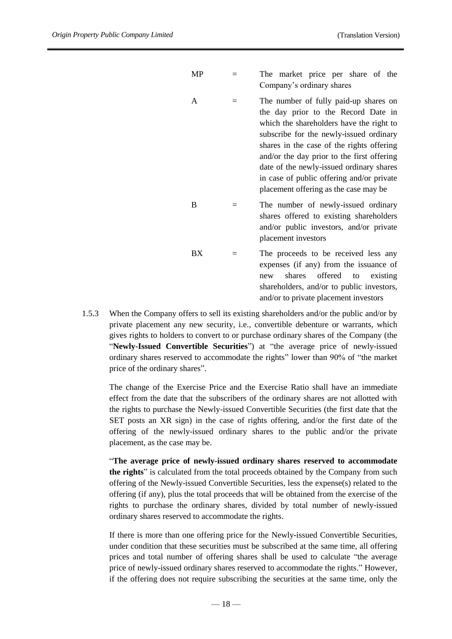| MP |     | The market price per share of the<br>Company's ordinary shares                                                                                                                                                                                                                                                                                                                                   |
|----|-----|--------------------------------------------------------------------------------------------------------------------------------------------------------------------------------------------------------------------------------------------------------------------------------------------------------------------------------------------------------------------------------------------------|
| A  |     | The number of fully paid-up shares on<br>the day prior to the Record Date in<br>which the shareholders have the right to<br>subscribe for the newly-issued ordinary<br>shares in the case of the rights offering<br>and/or the day prior to the first offering<br>date of the newly-issued ordinary shares<br>in case of public offering and/or private<br>placement offering as the case may be |
| B  | $=$ | The number of newly-issued ordinary<br>shares offered to existing shareholders<br>and/or public investors, and/or private<br>placement investors                                                                                                                                                                                                                                                 |
| ВX | $=$ | The proceeds to be received less any<br>expenses (if any) from the issuance of<br>offered<br>existing<br>shares<br>to to<br>new<br>shareholders, and/or to public investors,<br>and/or to private placement investors                                                                                                                                                                            |

1.5.3 When the Company offers to sell its existing shareholders and/or the public and/or by private placement any new security, i.e., convertible debenture or warrants, which gives rights to holders to convert to or purchase ordinary shares of the Company (the "**Newly-Issued Convertible Securities**") at "the average price of newly-issued ordinary shares reserved to accommodate the rights" lower than 90% of "the market price of the ordinary shares".

The change of the Exercise Price and the Exercise Ratio shall have an immediate effect from the date that the subscribers of the ordinary shares are not allotted with the rights to purchase the Newly-issued Convertible Securities (the first date that the SET posts an XR sign) in the case of rights offering, and/or the first date of the offering of the newly-issued ordinary shares to the public and/or the private placement, as the case may be.

"**The average price of newly-issued ordinary shares reserved to accommodate the rights**" is calculated from the total proceeds obtained by the Company from such offering of the Newly-issued Convertible Securities, less the expense(s) related to the offering (if any), plus the total proceeds that will be obtained from the exercise of the rights to purchase the ordinary shares, divided by total number of newly-issued ordinary shares reserved to accommodate the rights.

If there is more than one offering price for the Newly-issued Convertible Securities, under condition that these securities must be subscribed at the same time, all offering prices and total number of offering shares shall be used to calculate "the average price of newly-issued ordinary shares reserved to accommodate the rights." However, if the offering does not require subscribing the securities at the same time, only the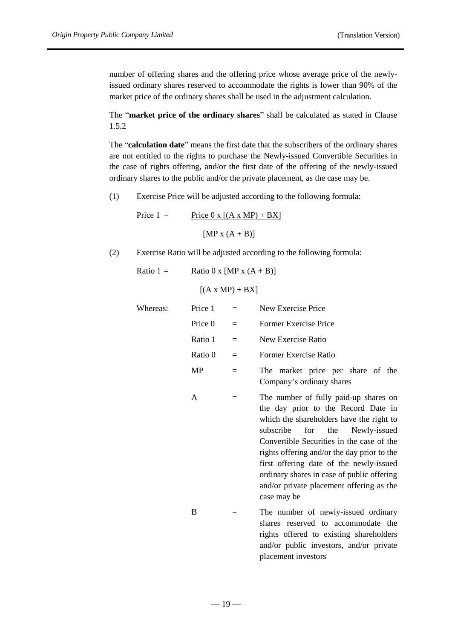number of offering shares and the offering price whose average price of the newlyissued ordinary shares reserved to accommodate the rights is lower than 90% of the market price of the ordinary shares shall be used in the adjustment calculation.

The "**market price of the ordinary shares**" shall be calculated as stated in Clause 1.5.2

The "**calculation date**" means the first date that the subscribers of the ordinary shares are not entitled to the rights to purchase the Newly-issued Convertible Securities in the case of rights offering, and/or the first date of the offering of the newly-issued ordinary shares to the public and/or the private placement, as the case may be.

(1) Exercise Price will be adjusted according to the following formula:

$$
Price 1 = \frac{Price 0 x [(A x MP) + BX]}{[MP x (A + B)]}
$$

(2) Exercise Ratio will be adjusted according to the following formula:

Ratio 1 = 
$$
\underline{\text{Ratio } 0 \times [\text{MP } x (A + B)]}
$$

 $[(A \times MP) + BX]$ 

| Whereas: | Price 1 | $=$ | New Exercise Price                                                                                                                                                                                                                                                                                                                                                                                                  |
|----------|---------|-----|---------------------------------------------------------------------------------------------------------------------------------------------------------------------------------------------------------------------------------------------------------------------------------------------------------------------------------------------------------------------------------------------------------------------|
|          | Price 0 | $=$ | Former Exercise Price                                                                                                                                                                                                                                                                                                                                                                                               |
|          | Ratio 1 | $=$ | New Exercise Ratio                                                                                                                                                                                                                                                                                                                                                                                                  |
|          | Ratio 0 | $=$ | Former Exercise Ratio                                                                                                                                                                                                                                                                                                                                                                                               |
|          | MP      | $=$ | The market price per share of the<br>Company's ordinary shares                                                                                                                                                                                                                                                                                                                                                      |
|          | A       | $=$ | The number of fully paid-up shares on<br>the day prior to the Record Date in<br>which the shareholders have the right to<br>subscribe<br>for<br>the<br>Newly-issued<br>Convertible Securities in the case of the<br>rights offering and/or the day prior to the<br>first offering date of the newly-issued<br>ordinary shares in case of public offering<br>and/or private placement offering as the<br>case may be |
|          | B       | $=$ | The number of newly-issued ordinary<br>shares reserved to accommodate the                                                                                                                                                                                                                                                                                                                                           |

shares reserved to accommodate the rights offered to existing shareholders and/or public investors, and/or private placement investors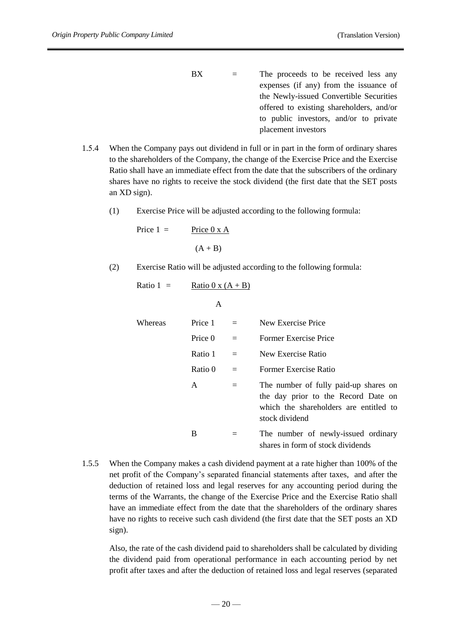- $BX =$  The proceeds to be received less any expenses (if any) from the issuance of the Newly-issued Convertible Securities offered to existing shareholders, and/or to public investors, and/or to private placement investors
- 1.5.4 When the Company pays out dividend in full or in part in the form of ordinary shares to the shareholders of the Company, the change of the Exercise Price and the Exercise Ratio shall have an immediate effect from the date that the subscribers of the ordinary shares have no rights to receive the stock dividend (the first date that the SET posts an XD sign).
	- (1) Exercise Price will be adjusted according to the following formula:

$$
Price 1 = \underline{Price 0 x A}
$$
\n
$$
(A + B)
$$

(2) Exercise Ratio will be adjusted according to the following formula:

Ratio 1 = 
$$
\underline{\text{Ratio } 0 \times (A + B)}
$$

A Whereas Price 1 = New Exercise Price Price 0 = Former Exercise Price Ratio 1 = New Exercise Ratio Ratio 0 = Former Exercise Ratio A = The number of fully paid-up shares on the day prior to the Record Date on which the shareholders are entitled to stock dividend B = The number of newly-issued ordinary shares in form of stock dividends

1.5.5 When the Company makes a cash dividend payment at a rate higher than 100% of the net profit of the Company's separated financial statements after taxes, and after the deduction of retained loss and legal reserves for any accounting period during the terms of the Warrants, the change of the Exercise Price and the Exercise Ratio shall have an immediate effect from the date that the shareholders of the ordinary shares have no rights to receive such cash dividend (the first date that the SET posts an XD sign).

Also, the rate of the cash dividend paid to shareholders shall be calculated by dividing the dividend paid from operational performance in each accounting period by net profit after taxes and after the deduction of retained loss and legal reserves (separated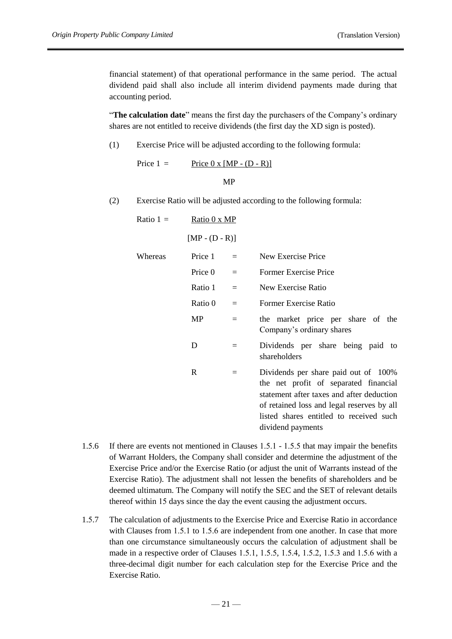financial statement) of that operational performance in the same period. The actual dividend paid shall also include all interim dividend payments made during that accounting period.

"**The calculation date**" means the first day the purchasers of the Company's ordinary shares are not entitled to receive dividends (the first day the XD sign is posted).

(1) Exercise Price will be adjusted according to the following formula:

Price  $1 =$  Price  $0 \times [MP - (D - R)]$ MP

(2) Exercise Ratio will be adjusted according to the following formula:

| Ratio $1 =$ | Ratio 0 x MP     |                   |                                                                                                                                                                                                                                          |
|-------------|------------------|-------------------|------------------------------------------------------------------------------------------------------------------------------------------------------------------------------------------------------------------------------------------|
|             | $[MP - (D - R)]$ |                   |                                                                                                                                                                                                                                          |
| Whereas     | Price 1          | $=$               | New Exercise Price                                                                                                                                                                                                                       |
|             | Price 0          | $=$               | Former Exercise Price                                                                                                                                                                                                                    |
|             | Ratio 1          | $=$               | New Exercise Ratio                                                                                                                                                                                                                       |
|             | Ratio 0          | $=$               | Former Exercise Ratio                                                                                                                                                                                                                    |
|             | MP               | $=$               | the market price per share of the<br>Company's ordinary shares                                                                                                                                                                           |
|             | D                | $=$               | Dividends per share being paid<br>to<br>shareholders                                                                                                                                                                                     |
|             | R                | $\qquad \qquad =$ | Dividends per share paid out of 100%<br>the net profit of separated financial<br>statement after taxes and after deduction<br>of retained loss and legal reserves by all<br>listed shares entitled to received such<br>dividend payments |

- 1.5.6 If there are events not mentioned in Clauses 1.5.1 1.5.5 that may impair the benefits of Warrant Holders, the Company shall consider and determine the adjustment of the Exercise Price and/or the Exercise Ratio (or adjust the unit of Warrants instead of the Exercise Ratio). The adjustment shall not lessen the benefits of shareholders and be deemed ultimatum. The Company will notify the SEC and the SET of relevant details thereof within 15 days since the day the event causing the adjustment occurs.
- 1.5.7 The calculation of adjustments to the Exercise Price and Exercise Ratio in accordance with Clauses from 1.5.1 to 1.5.6 are independent from one another. In case that more than one circumstance simultaneously occurs the calculation of adjustment shall be made in a respective order of Clauses 1.5.1, 1.5.5, 1.5.4, 1.5.2, 1.5.3 and 1.5.6 with a three-decimal digit number for each calculation step for the Exercise Price and the Exercise Ratio.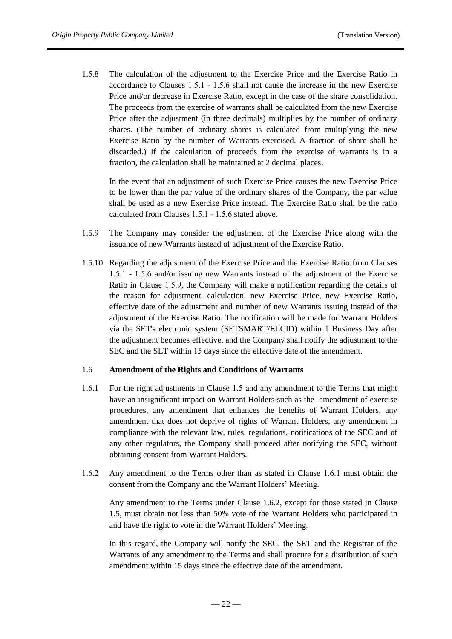1.5.8 The calculation of the adjustment to the Exercise Price and the Exercise Ratio in accordance to Clauses 1.5.1 - 1.5.6 shall not cause the increase in the new Exercise Price and/or decrease in Exercise Ratio, except in the case of the share consolidation. The proceeds from the exercise of warrants shall be calculated from the new Exercise Price after the adjustment (in three decimals) multiplies by the number of ordinary shares. (The number of ordinary shares is calculated from multiplying the new Exercise Ratio by the number of Warrants exercised. A fraction of share shall be discarded.) If the calculation of proceeds from the exercise of warrants is in a fraction, the calculation shall be maintained at 2 decimal places.

In the event that an adjustment of such Exercise Price causes the new Exercise Price to be lower than the par value of the ordinary shares of the Company, the par value shall be used as a new Exercise Price instead. The Exercise Ratio shall be the ratio calculated from Clauses 1.5.1 - 1.5.6 stated above.

- 1.5.9 The Company may consider the adjustment of the Exercise Price along with the issuance of new Warrants instead of adjustment of the Exercise Ratio.
- 1.5.10 Regarding the adjustment of the Exercise Price and the Exercise Ratio from Clauses 1.5.1 - 1.5.6 and/or issuing new Warrants instead of the adjustment of the Exercise Ratio in Clause 1.5.9, the Company will make a notification regarding the details of the reason for adjustment, calculation, new Exercise Price, new Exercise Ratio, effective date of the adjustment and number of new Warrants issuing instead of the adjustment of the Exercise Ratio. The notification will be made for Warrant Holders via the SET's electronic system (SETSMART/ELCID) within 1 Business Day after the adjustment becomes effective, and the Company shall notify the adjustment to the SEC and the SET within 15 days since the effective date of the amendment.

#### 1.6 **Amendment of the Rights and Conditions of Warrants**

- 1.6.1 For the right adjustments in Clause 1.5 and any amendment to the Terms that might have an insignificant impact on Warrant Holders such as the amendment of exercise procedures, any amendment that enhances the benefits of Warrant Holders, any amendment that does not deprive of rights of Warrant Holders, any amendment in compliance with the relevant law, rules, regulations, notifications of the SEC and of any other regulators, the Company shall proceed after notifying the SEC, without obtaining consent from Warrant Holders.
- 1.6.2 Any amendment to the Terms other than as stated in Clause 1.6.1 must obtain the consent from the Company and the Warrant Holders' Meeting.

Any amendment to the Terms under Clause 1.6.2, except for those stated in Clause 1.5, must obtain not less than 50% vote of the Warrant Holders who participated in and have the right to vote in the Warrant Holders' Meeting.

In this regard, the Company will notify the SEC, the SET and the Registrar of the Warrants of any amendment to the Terms and shall procure for a distribution of such amendment within 15 days since the effective date of the amendment.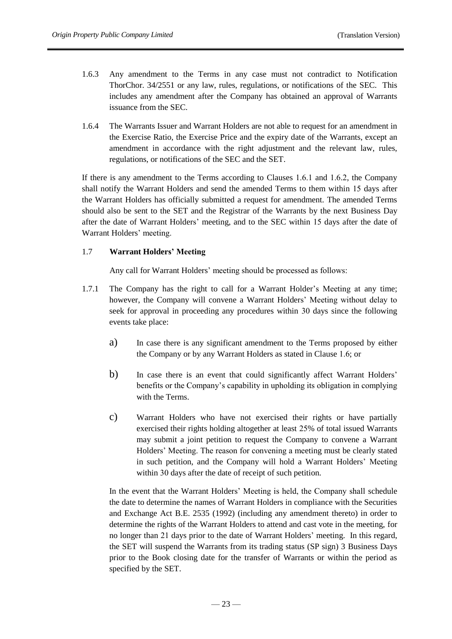- 1.6.3 Any amendment to the Terms in any case must not contradict to Notification ThorChor. 34/2551 or any law, rules, regulations, or notifications of the SEC. This includes any amendment after the Company has obtained an approval of Warrants issuance from the SEC.
- 1.6.4 The Warrants Issuer and Warrant Holders are not able to request for an amendment in the Exercise Ratio, the Exercise Price and the expiry date of the Warrants, except an amendment in accordance with the right adjustment and the relevant law, rules, regulations, or notifications of the SEC and the SET.

If there is any amendment to the Terms according to Clauses 1.6.1 and 1.6.2, the Company shall notify the Warrant Holders and send the amended Terms to them within 15 days after the Warrant Holders has officially submitted a request for amendment. The amended Terms should also be sent to the SET and the Registrar of the Warrants by the next Business Day after the date of Warrant Holders' meeting, and to the SEC within 15 days after the date of Warrant Holders' meeting.

# 1.7 **Warrant Holders' Meeting**

Any call for Warrant Holders' meeting should be processed as follows:

- 1.7.1 The Company has the right to call for a Warrant Holder's Meeting at any time; however, the Company will convene a Warrant Holders' Meeting without delay to seek for approval in proceeding any procedures within 30 days since the following events take place:
	- a) In case there is any significant amendment to the Terms proposed by either the Company or by any Warrant Holders as stated in Clause 1.6; or
	- b) In case there is an event that could significantly affect Warrant Holders' benefits or the Company's capability in upholding its obligation in complying with the Terms.
	- c) Warrant Holders who have not exercised their rights or have partially exercised their rights holding altogether at least 25% of total issued Warrants may submit a joint petition to request the Company to convene a Warrant Holders' Meeting. The reason for convening a meeting must be clearly stated in such petition, and the Company will hold a Warrant Holders' Meeting within 30 days after the date of receipt of such petition.

In the event that the Warrant Holders' Meeting is held, the Company shall schedule the date to determine the names of Warrant Holders in compliance with the Securities and Exchange Act B.E. 2535 (1992) (including any amendment thereto) in order to determine the rights of the Warrant Holders to attend and cast vote in the meeting, for no longer than 21 days prior to the date of Warrant Holders' meeting. In this regard, the SET will suspend the Warrants from its trading status (SP sign) 3 Business Days prior to the Book closing date for the transfer of Warrants or within the period as specified by the SET.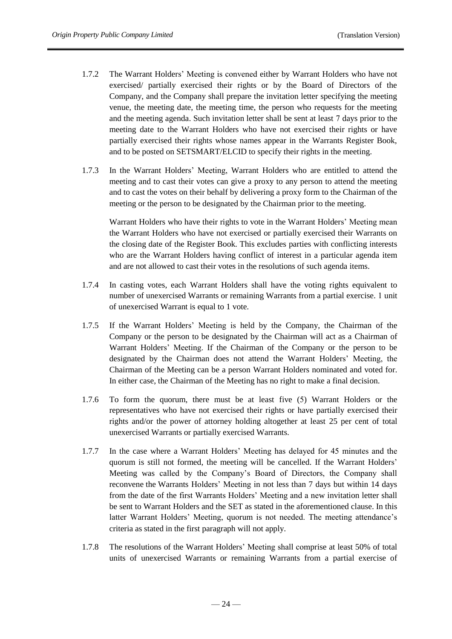- 1.7.2 The Warrant Holders' Meeting is convened either by Warrant Holders who have not exercised/ partially exercised their rights or by the Board of Directors of the Company, and the Company shall prepare the invitation letter specifying the meeting venue, the meeting date, the meeting time, the person who requests for the meeting and the meeting agenda. Such invitation letter shall be sent at least 7 days prior to the meeting date to the Warrant Holders who have not exercised their rights or have partially exercised their rights whose names appear in the Warrants Register Book, and to be posted on SETSMART/ELCID to specify their rights in the meeting.
- 1.7.3 In the Warrant Holders' Meeting, Warrant Holders who are entitled to attend the meeting and to cast their votes can give a proxy to any person to attend the meeting and to cast the votes on their behalf by delivering a proxy form to the Chairman of the meeting or the person to be designated by the Chairman prior to the meeting.

Warrant Holders who have their rights to vote in the Warrant Holders' Meeting mean the Warrant Holders who have not exercised or partially exercised their Warrants on the closing date of the Register Book. This excludes parties with conflicting interests who are the Warrant Holders having conflict of interest in a particular agenda item and are not allowed to cast their votes in the resolutions of such agenda items.

- 1.7.4 In casting votes, each Warrant Holders shall have the voting rights equivalent to number of unexercised Warrants or remaining Warrants from a partial exercise. 1 unit of unexercised Warrant is equal to 1 vote.
- 1.7.5 If the Warrant Holders' Meeting is held by the Company, the Chairman of the Company or the person to be designated by the Chairman will act as a Chairman of Warrant Holders' Meeting. If the Chairman of the Company or the person to be designated by the Chairman does not attend the Warrant Holders' Meeting, the Chairman of the Meeting can be a person Warrant Holders nominated and voted for. In either case, the Chairman of the Meeting has no right to make a final decision.
- 1.7.6 To form the quorum, there must be at least five (5) Warrant Holders or the representatives who have not exercised their rights or have partially exercised their rights and/or the power of attorney holding altogether at least 25 per cent of total unexercised Warrants or partially exercised Warrants.
- 1.7.7 In the case where a Warrant Holders' Meeting has delayed for 45 minutes and the quorum is still not formed, the meeting will be cancelled. If the Warrant Holders' Meeting was called by the Company's Board of Directors, the Company shall reconvene the Warrants Holders' Meeting in not less than 7 days but within 14 days from the date of the first Warrants Holders' Meeting and a new invitation letter shall be sent to Warrant Holders and the SET as stated in the aforementioned clause. In this latter Warrant Holders' Meeting, quorum is not needed. The meeting attendance's criteria as stated in the first paragraph will not apply.
- 1.7.8 The resolutions of the Warrant Holders' Meeting shall comprise at least 50% of total units of unexercised Warrants or remaining Warrants from a partial exercise of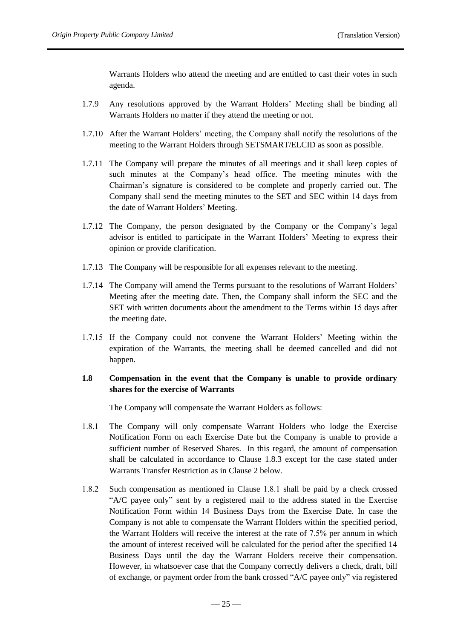Warrants Holders who attend the meeting and are entitled to cast their votes in such agenda.

- 1.7.9 Any resolutions approved by the Warrant Holders' Meeting shall be binding all Warrants Holders no matter if they attend the meeting or not.
- 1.7.10 After the Warrant Holders' meeting, the Company shall notify the resolutions of the meeting to the Warrant Holders through SETSMART/ELCID as soon as possible.
- 1.7.11 The Company will prepare the minutes of all meetings and it shall keep copies of such minutes at the Company's head office. The meeting minutes with the Chairman's signature is considered to be complete and properly carried out. The Company shall send the meeting minutes to the SET and SEC within 14 days from the date of Warrant Holders' Meeting.
- 1.7.12 The Company, the person designated by the Company or the Company's legal advisor is entitled to participate in the Warrant Holders' Meeting to express their opinion or provide clarification.
- 1.7.13 The Company will be responsible for all expenses relevant to the meeting.
- 1.7.14 The Company will amend the Terms pursuant to the resolutions of Warrant Holders' Meeting after the meeting date. Then, the Company shall inform the SEC and the SET with written documents about the amendment to the Terms within 15 days after the meeting date.
- 1.7.15 If the Company could not convene the Warrant Holders' Meeting within the expiration of the Warrants, the meeting shall be deemed cancelled and did not happen.

# **1.8 Compensation in the event that the Company is unable to provide ordinary shares for the exercise of Warrants**

The Company will compensate the Warrant Holders as follows:

- 1.8.1 The Company will only compensate Warrant Holders who lodge the Exercise Notification Form on each Exercise Date but the Company is unable to provide a sufficient number of Reserved Shares. In this regard, the amount of compensation shall be calculated in accordance to Clause 1.8.3 except for the case stated under Warrants Transfer Restriction as in Clause 2 below.
- 1.8.2 Such compensation as mentioned in Clause 1.8.1 shall be paid by a check crossed "A/C payee only" sent by a registered mail to the address stated in the Exercise Notification Form within 14 Business Days from the Exercise Date. In case the Company is not able to compensate the Warrant Holders within the specified period, the Warrant Holders will receive the interest at the rate of 7.5% per annum in which the amount of interest received will be calculated for the period after the specified 14 Business Days until the day the Warrant Holders receive their compensation. However, in whatsoever case that the Company correctly delivers a check, draft, bill of exchange, or payment order from the bank crossed "A/C payee only" via registered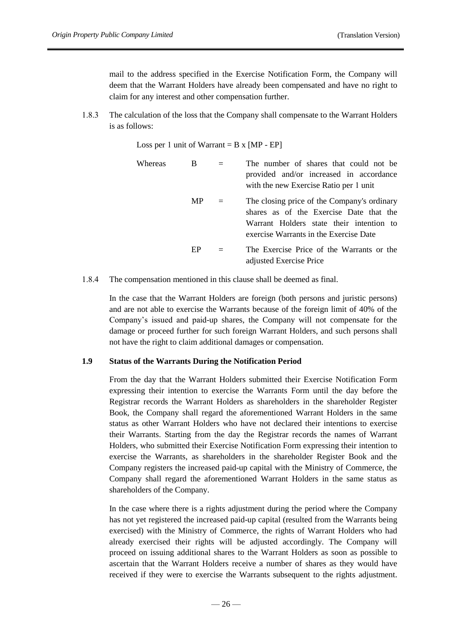mail to the address specified in the Exercise Notification Form, the Company will deem that the Warrant Holders have already been compensated and have no right to claim for any interest and other compensation further.

1.8.3 The calculation of the loss that the Company shall compensate to the Warrant Holders is as follows:

Loss per 1 unit of Warrant =  $B \times [MP - EP]$ 

| Whereas | B         | The number of shares that could not be<br>provided and/or increased in accordance<br>with the new Exercise Ratio per 1 unit                                                  |
|---------|-----------|------------------------------------------------------------------------------------------------------------------------------------------------------------------------------|
|         | <b>MP</b> | The closing price of the Company's ordinary<br>shares as of the Exercise Date that the<br>Warrant Holders state their intention to<br>exercise Warrants in the Exercise Date |
|         | EP        | The Exercise Price of the Warrants or the<br>adjusted Exercise Price                                                                                                         |

1.8.4 The compensation mentioned in this clause shall be deemed as final.

In the case that the Warrant Holders are foreign (both persons and juristic persons) and are not able to exercise the Warrants because of the foreign limit of 40% of the Company's issued and paid-up shares, the Company will not compensate for the damage or proceed further for such foreign Warrant Holders, and such persons shall not have the right to claim additional damages or compensation.

#### **1.9 Status of the Warrants During the Notification Period**

From the day that the Warrant Holders submitted their Exercise Notification Form expressing their intention to exercise the Warrants Form until the day before the Registrar records the Warrant Holders as shareholders in the shareholder Register Book, the Company shall regard the aforementioned Warrant Holders in the same status as other Warrant Holders who have not declared their intentions to exercise their Warrants. Starting from the day the Registrar records the names of Warrant Holders, who submitted their Exercise Notification Form expressing their intention to exercise the Warrants, as shareholders in the shareholder Register Book and the Company registers the increased paid-up capital with the Ministry of Commerce, the Company shall regard the aforementioned Warrant Holders in the same status as shareholders of the Company.

In the case where there is a rights adjustment during the period where the Company has not yet registered the increased paid-up capital (resulted from the Warrants being exercised) with the Ministry of Commerce, the rights of Warrant Holders who had already exercised their rights will be adjusted accordingly. The Company will proceed on issuing additional shares to the Warrant Holders as soon as possible to ascertain that the Warrant Holders receive a number of shares as they would have received if they were to exercise the Warrants subsequent to the rights adjustment.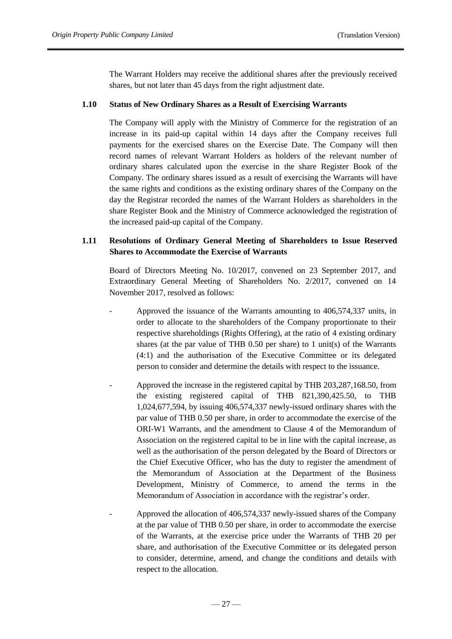The Warrant Holders may receive the additional shares after the previously received shares, but not later than 45 days from the right adjustment date.

### **1.10 Status of New Ordinary Shares as a Result of Exercising Warrants**

The Company will apply with the Ministry of Commerce for the registration of an increase in its paid-up capital within 14 days after the Company receives full payments for the exercised shares on the Exercise Date. The Company will then record names of relevant Warrant Holders as holders of the relevant number of ordinary shares calculated upon the exercise in the share Register Book of the Company. The ordinary shares issued as a result of exercising the Warrants will have the same rights and conditions as the existing ordinary shares of the Company on the day the Registrar recorded the names of the Warrant Holders as shareholders in the share Register Book and the Ministry of Commerce acknowledged the registration of the increased paid-up capital of the Company.

# **1.11 Resolutions of Ordinary General Meeting of Shareholders to Issue Reserved Shares to Accommodate the Exercise of Warrants**

Board of Directors Meeting No. 10/2017, convened on 23 September 2017, and Extraordinary General Meeting of Shareholders No. 2/2017, convened on 14 November 2017, resolved as follows:

- Approved the issuance of the Warrants amounting to 406,574,337 units, in order to allocate to the shareholders of the Company proportionate to their respective shareholdings (Rights Offering), at the ratio of 4 existing ordinary shares (at the par value of THB 0.50 per share) to 1 unit(s) of the Warrants (4:1) and the authorisation of the Executive Committee or its delegated person to consider and determine the details with respect to the issuance.
- Approved the increase in the registered capital by THB 203,287,168.50, from the existing registered capital of THB 821,390,425.50, to THB 1,024,677,594, by issuing 406,574,337 newly-issued ordinary shares with the par value of THB 0.50 per share, in order to accommodate the exercise of the ORI-W1 Warrants, and the amendment to Clause 4 of the Memorandum of Association on the registered capital to be in line with the capital increase, as well as the authorisation of the person delegated by the Board of Directors or the Chief Executive Officer, who has the duty to register the amendment of the Memorandum of Association at the Department of the Business Development, Ministry of Commerce, to amend the terms in the Memorandum of Association in accordance with the registrar's order.
- Approved the allocation of 406,574,337 newly-issued shares of the Company at the par value of THB 0.50 per share, in order to accommodate the exercise of the Warrants, at the exercise price under the Warrants of THB 20 per share, and authorisation of the Executive Committee or its delegated person to consider, determine, amend, and change the conditions and details with respect to the allocation.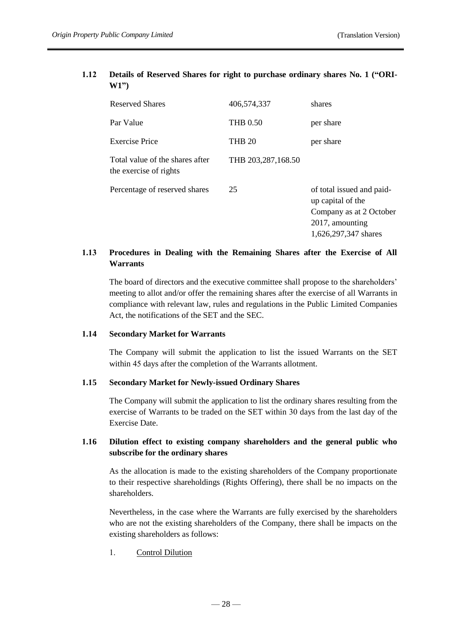# **1.12 Details of Reserved Shares for right to purchase ordinary shares No. 1 ("ORI-W1")**

| <b>Reserved Shares</b>                                    | 406.574.337        | shares                                                                                                               |
|-----------------------------------------------------------|--------------------|----------------------------------------------------------------------------------------------------------------------|
| Par Value                                                 | <b>THB 0.50</b>    | per share                                                                                                            |
| Exercise Price                                            | <b>THB 20</b>      | per share                                                                                                            |
| Total value of the shares after<br>the exercise of rights | THB 203,287,168.50 |                                                                                                                      |
| Percentage of reserved shares                             | 25                 | of total issued and paid-<br>up capital of the<br>Company as at 2 October<br>2017, amounting<br>1,626,297,347 shares |

# **1.13 Procedures in Dealing with the Remaining Shares after the Exercise of All Warrants**

The board of directors and the executive committee shall propose to the shareholders' meeting to allot and/or offer the remaining shares after the exercise of all Warrants in compliance with relevant law, rules and regulations in the Public Limited Companies Act, the notifications of the SET and the SEC.

# **1.14 Secondary Market for Warrants**

The Company will submit the application to list the issued Warrants on the SET within 45 days after the completion of the Warrants allotment.

## **1.15 Secondary Market for Newly-issued Ordinary Shares**

The Company will submit the application to list the ordinary shares resulting from the exercise of Warrants to be traded on the SET within 30 days from the last day of the Exercise Date.

# **1.16 Dilution effect to existing company shareholders and the general public who subscribe for the ordinary shares**

As the allocation is made to the existing shareholders of the Company proportionate to their respective shareholdings (Rights Offering), there shall be no impacts on the shareholders.

Nevertheless, in the case where the Warrants are fully exercised by the shareholders who are not the existing shareholders of the Company, there shall be impacts on the existing shareholders as follows:

# 1. Control Dilution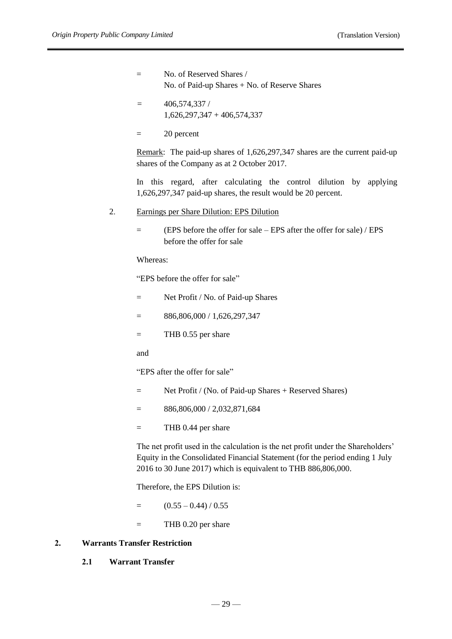$=$  No. of Reserved Shares / No. of Paid-up Shares + No. of Reserve Shares

- $= 406,574,337/$ 1,626,297,347 + 406,574,337
- = 20 percent

Remark: The paid-up shares of 1,626,297,347 shares are the current paid-up shares of the Company as at 2 October 2017.

In this regard, after calculating the control dilution by applying 1,626,297,347 paid-up shares, the result would be 20 percent.

#### 2. Earnings per Share Dilution: EPS Dilution

= (EPS before the offer for sale – EPS after the offer for sale) / EPS before the offer for sale

Whereas:

"EPS before the offer for sale"

- = Net Profit / No. of Paid-up Shares
- $=$  886,806,000 / 1,626,297,347
- = THB 0.55 per share

and

"EPS after the offer for sale"

- = Net Profit / (No. of Paid-up Shares + Reserved Shares)
- $=$  886,806,000 / 2,032,871,684
- $=$  THB 0.44 per share

The net profit used in the calculation is the net profit under the Shareholders' Equity in the Consolidated Financial Statement (for the period ending 1 July 2016 to 30 June 2017) which is equivalent to THB 886,806,000.

Therefore, the EPS Dilution is:

- $=$   $(0.55 0.44) / 0.55$
- $=$  THB 0.20 per share

# **2. Warrants Transfer Restriction**

**2.1 Warrant Transfer**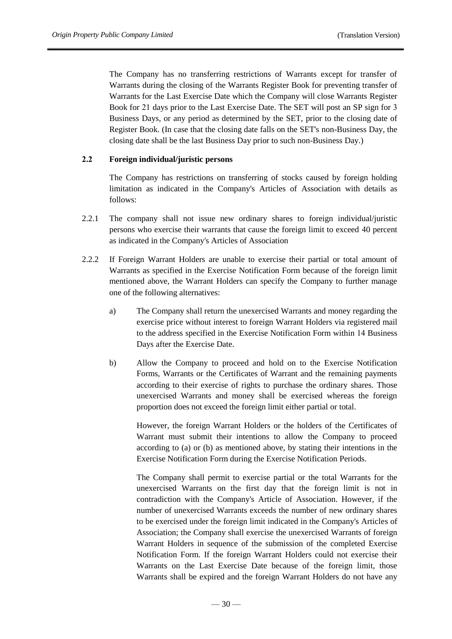The Company has no transferring restrictions of Warrants except for transfer of Warrants during the closing of the Warrants Register Book for preventing transfer of Warrants for the Last Exercise Date which the Company will close Warrants Register Book for 21 days prior to the Last Exercise Date. The SET will post an SP sign for 3 Business Days, or any period as determined by the SET, prior to the closing date of Register Book. (In case that the closing date falls on the SET's non-Business Day, the closing date shall be the last Business Day prior to such non-Business Day.)

# **2.2 Foreign individual/juristic persons**

The Company has restrictions on transferring of stocks caused by foreign holding limitation as indicated in the Company's Articles of Association with details as follows:

- 2.2.1 The company shall not issue new ordinary shares to foreign individual/juristic persons who exercise their warrants that cause the foreign limit to exceed 40 percent as indicated in the Company's Articles of Association
- 2.2.2 If Foreign Warrant Holders are unable to exercise their partial or total amount of Warrants as specified in the Exercise Notification Form because of the foreign limit mentioned above, the Warrant Holders can specify the Company to further manage one of the following alternatives:
	- a) The Company shall return the unexercised Warrants and money regarding the exercise price without interest to foreign Warrant Holders via registered mail to the address specified in the Exercise Notification Form within 14 Business Days after the Exercise Date.
	- b) Allow the Company to proceed and hold on to the Exercise Notification Forms, Warrants or the Certificates of Warrant and the remaining payments according to their exercise of rights to purchase the ordinary shares. Those unexercised Warrants and money shall be exercised whereas the foreign proportion does not exceed the foreign limit either partial or total.

However, the foreign Warrant Holders or the holders of the Certificates of Warrant must submit their intentions to allow the Company to proceed according to (a) or (b) as mentioned above, by stating their intentions in the Exercise Notification Form during the Exercise Notification Periods.

The Company shall permit to exercise partial or the total Warrants for the unexercised Warrants on the first day that the foreign limit is not in contradiction with the Company's Article of Association. However, if the number of unexercised Warrants exceeds the number of new ordinary shares to be exercised under the foreign limit indicated in the Company's Articles of Association; the Company shall exercise the unexercised Warrants of foreign Warrant Holders in sequence of the submission of the completed Exercise Notification Form. If the foreign Warrant Holders could not exercise their Warrants on the Last Exercise Date because of the foreign limit, those Warrants shall be expired and the foreign Warrant Holders do not have any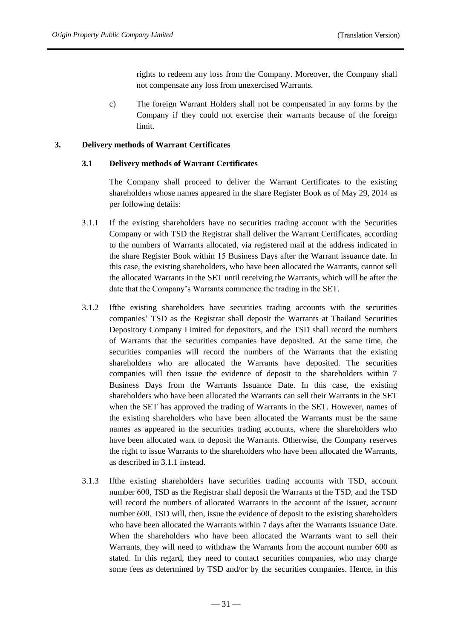rights to redeem any loss from the Company. Moreover, the Company shall not compensate any loss from unexercised Warrants.

c) The foreign Warrant Holders shall not be compensated in any forms by the Company if they could not exercise their warrants because of the foreign limit.

### **3. Delivery methods of Warrant Certificates**

#### **3.1 Delivery methods of Warrant Certificates**

The Company shall proceed to deliver the Warrant Certificates to the existing shareholders whose names appeared in the share Register Book as of May 29, 2014 as per following details:

- 3.1.1 If the existing shareholders have no securities trading account with the Securities Company or with TSD the Registrar shall deliver the Warrant Certificates, according to the numbers of Warrants allocated, via registered mail at the address indicated in the share Register Book within 15 Business Days after the Warrant issuance date. In this case, the existing shareholders, who have been allocated the Warrants, cannot sell the allocated Warrants in the SET until receiving the Warrants, which will be after the date that the Company's Warrants commence the trading in the SET.
- 3.1.2 Ifthe existing shareholders have securities trading accounts with the securities companies' TSD as the Registrar shall deposit the Warrants at Thailand Securities Depository Company Limited for depositors, and the TSD shall record the numbers of Warrants that the securities companies have deposited. At the same time, the securities companies will record the numbers of the Warrants that the existing shareholders who are allocated the Warrants have deposited. The securities companies will then issue the evidence of deposit to the shareholders within 7 Business Days from the Warrants Issuance Date. In this case, the existing shareholders who have been allocated the Warrants can sell their Warrants in the SET when the SET has approved the trading of Warrants in the SET. However, names of the existing shareholders who have been allocated the Warrants must be the same names as appeared in the securities trading accounts, where the shareholders who have been allocated want to deposit the Warrants. Otherwise, the Company reserves the right to issue Warrants to the shareholders who have been allocated the Warrants, as described in 3.1.1 instead.
- 3.1.3 Ifthe existing shareholders have securities trading accounts with TSD, account number 600, TSD as the Registrar shall deposit the Warrants at the TSD, and the TSD will record the numbers of allocated Warrants in the account of the issuer, account number 600. TSD will, then, issue the evidence of deposit to the existing shareholders who have been allocated the Warrants within 7 days after the Warrants Issuance Date. When the shareholders who have been allocated the Warrants want to sell their Warrants, they will need to withdraw the Warrants from the account number 600 as stated. In this regard, they need to contact securities companies, who may charge some fees as determined by TSD and/or by the securities companies. Hence, in this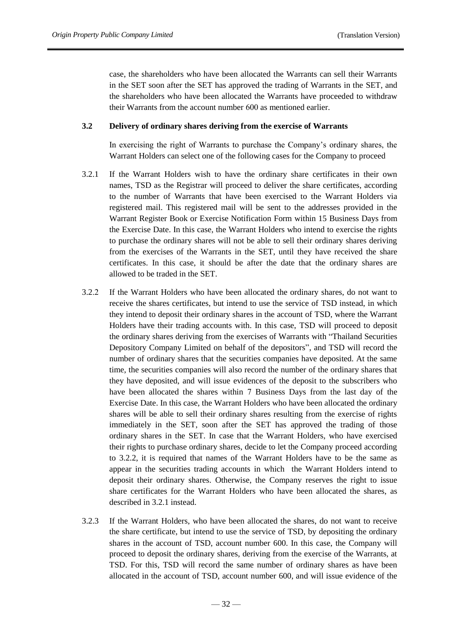case, the shareholders who have been allocated the Warrants can sell their Warrants in the SET soon after the SET has approved the trading of Warrants in the SET, and the shareholders who have been allocated the Warrants have proceeded to withdraw their Warrants from the account number 600 as mentioned earlier.

#### **3.2 Delivery of ordinary shares deriving from the exercise of Warrants**

In exercising the right of Warrants to purchase the Company's ordinary shares, the Warrant Holders can select one of the following cases for the Company to proceed

- 3.2.1 If the Warrant Holders wish to have the ordinary share certificates in their own names, TSD as the Registrar will proceed to deliver the share certificates, according to the number of Warrants that have been exercised to the Warrant Holders via registered mail. This registered mail will be sent to the addresses provided in the Warrant Register Book or Exercise Notification Form within 15 Business Days from the Exercise Date. In this case, the Warrant Holders who intend to exercise the rights to purchase the ordinary shares will not be able to sell their ordinary shares deriving from the exercises of the Warrants in the SET, until they have received the share certificates. In this case, it should be after the date that the ordinary shares are allowed to be traded in the SET.
- 3.2.2 If the Warrant Holders who have been allocated the ordinary shares, do not want to receive the shares certificates, but intend to use the service of TSD instead, in which they intend to deposit their ordinary shares in the account of TSD, where the Warrant Holders have their trading accounts with. In this case, TSD will proceed to deposit the ordinary shares deriving from the exercises of Warrants with "Thailand Securities Depository Company Limited on behalf of the depositors", and TSD will record the number of ordinary shares that the securities companies have deposited. At the same time, the securities companies will also record the number of the ordinary shares that they have deposited, and will issue evidences of the deposit to the subscribers who have been allocated the shares within 7 Business Days from the last day of the Exercise Date. In this case, the Warrant Holders who have been allocated the ordinary shares will be able to sell their ordinary shares resulting from the exercise of rights immediately in the SET, soon after the SET has approved the trading of those ordinary shares in the SET. In case that the Warrant Holders, who have exercised their rights to purchase ordinary shares, decide to let the Company proceed according to 3.2.2, it is required that names of the Warrant Holders have to be the same as appear in the securities trading accounts in which the Warrant Holders intend to deposit their ordinary shares. Otherwise, the Company reserves the right to issue share certificates for the Warrant Holders who have been allocated the shares, as described in 3.2.1 instead.
- 3.2.3 If the Warrant Holders, who have been allocated the shares, do not want to receive the share certificate, but intend to use the service of TSD, by depositing the ordinary shares in the account of TSD, account number 600. In this case, the Company will proceed to deposit the ordinary shares, deriving from the exercise of the Warrants, at TSD. For this, TSD will record the same number of ordinary shares as have been allocated in the account of TSD, account number 600, and will issue evidence of the